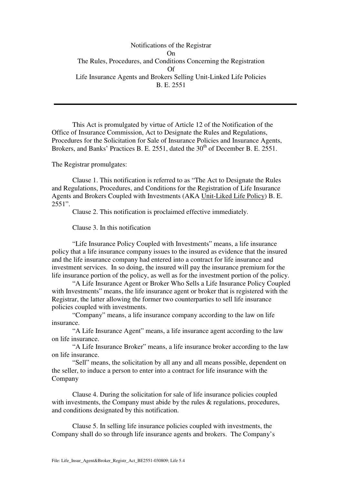Notifications of the Registrar On The Rules, Procedures, and Conditions Concerning the Registration Of Life Insurance Agents and Brokers Selling Unit-Linked Life Policies B. E. 2551

This Act is promulgated by virtue of Article 12 of the Notification of the Office of Insurance Commission, Act to Designate the Rules and Regulations, Procedures for the Solicitation for Sale of Insurance Policies and Insurance Agents, Brokers, and Banks' Practices B. E. 2551, dated the  $30<sup>th</sup>$  of December B. E. 2551.

The Registrar promulgates:

Clause 1. This notification is referred to as "The Act to Designate the Rules and Regulations, Procedures, and Conditions for the Registration of Life Insurance Agents and Brokers Coupled with Investments (AKA Unit-Liked Life Policy) B. E. 2551".

Clause 2. This notification is proclaimed effective immediately.

Clause 3. In this notification

 "Life Insurance Policy Coupled with Investments" means, a life insurance policy that a life insurance company issues to the insured as evidence that the insured and the life insurance company had entered into a contract for life insurance and investment services. In so doing, the insured will pay the insurance premium for the life insurance portion of the policy, as well as for the investment portion of the policy.

 "A Life Insurance Agent or Broker Who Sells a Life Insurance Policy Coupled with Investments" means, the life insurance agent or broker that is registered with the Registrar, the latter allowing the former two counterparties to sell life insurance policies coupled with investments.

 "Company" means, a life insurance company according to the law on life insurance.

 "A Life Insurance Agent" means, a life insurance agent according to the law on life insurance.

 "A Life Insurance Broker" means, a life insurance broker according to the law on life insurance.

 "Sell" means, the solicitation by all any and all means possible, dependent on the seller, to induce a person to enter into a contract for life insurance with the Company

 Clause 4. During the solicitation for sale of life insurance policies coupled with investments, the Company must abide by the rules  $\&$  regulations, procedures, and conditions designated by this notification.

 Clause 5. In selling life insurance policies coupled with investments, the Company shall do so through life insurance agents and brokers. The Company's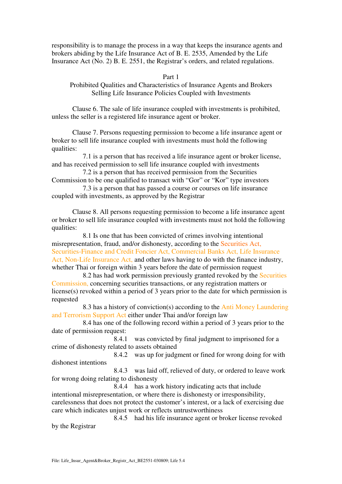responsibility is to manage the process in a way that keeps the insurance agents and brokers abiding by the Life Insurance Act of B. E. 2535, Amended by the Life Insurance Act (No. 2) B. E. 2551, the Registrar's orders, and related regulations.

Part 1

Prohibited Qualities and Characteristics of Insurance Agents and Brokers Selling Life Insurance Policies Coupled with Investments

Clause 6. The sale of life insurance coupled with investments is prohibited, unless the seller is a registered life insurance agent or broker.

Clause 7. Persons requesting permission to become a life insurance agent or broker to sell life insurance coupled with investments must hold the following qualities:

7.1 is a person that has received a life insurance agent or broker license, and has received permission to sell life insurance coupled with investments

7.2 is a person that has received permission from the Securities Commission to be one qualified to transact with "Gor" or "Kor" type investors 7.3 is a person that has passed a course or courses on life insurance

coupled with investments, as approved by the Registrar

 Clause 8. All persons requesting permission to become a life insurance agent or broker to sell life insurance coupled with investments must not hold the following qualities:

8.1 Is one that has been convicted of crimes involving intentional misrepresentation, fraud, and/or dishonesty, according to the Securities Act, Securities-Finance and Credit Foncier Act, Commercial Banks Act, Life Insurance Act, Non-Life Insurance Act, and other laws having to do with the finance industry, whether Thai or foreign within 3 years before the date of permission request

8.2 has had work permission previously granted revoked by the Securities Commission, concerning securities transactions, or any registration matters or license(s) revoked within a period of 3 years prior to the date for which permission is requested

8.3 has a history of conviction(s) according to the Anti Money Laundering and Terrorism Support Act either under Thai and/or foreign law

8.4 has one of the following record within a period of 3 years prior to the date of permission request:

8.4.1 was convicted by final judgment to imprisoned for a crime of dishonesty related to assets obtained

8.4.2 was up for judgment or fined for wrong doing for with dishonest intentions

8.4.3 was laid off, relieved of duty, or ordered to leave work for wrong doing relating to dishonesty

8.4.4 has a work history indicating acts that include intentional misrepresentation, or where there is dishonesty or irresponsibility, carelessness that does not protect the customer's interest, or a lack of exercising due care which indicates unjust work or reflects untrustworthiness

8.4.5 had his life insurance agent or broker license revoked by the Registrar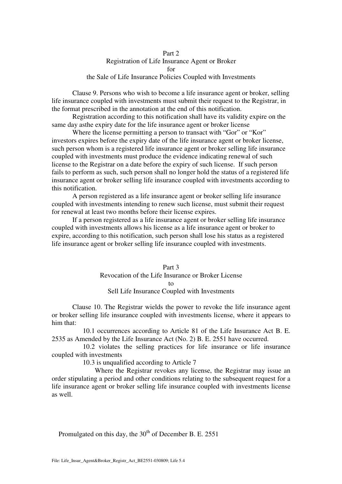## Part 2 Registration of Life Insurance Agent or Broker for the Sale of Life Insurance Policies Coupled with Investments

 Clause 9. Persons who wish to become a life insurance agent or broker, selling life insurance coupled with investments must submit their request to the Registrar, in the format prescribed in the annotation at the end of this notification.

 Registration according to this notification shall have its validity expire on the same day asthe expiry date for the life insurance agent or broker license

Where the license permitting a person to transact with "Gor" or "Kor" investors expires before the expiry date of the life insurance agent or broker license, such person whom is a registered life insurance agent or broker selling life insurance coupled with investments must produce the evidence indicating renewal of such license to the Registrar on a date before the expiry of such license. If such person fails to perform as such, such person shall no longer hold the status of a registered life insurance agent or broker selling life insurance coupled with investments according to this notification.

 A person registered as a life insurance agent or broker selling life insurance coupled with investments intending to renew such license, must submit their request for renewal at least two months before their license expires.

 If a person registered as a life insurance agent or broker selling life insurance coupled with investments allows his license as a life insurance agent or broker to expire, according to this notification, such person shall lose his status as a registered life insurance agent or broker selling life insurance coupled with investments.

> Part 3 Revocation of the Life Insurance or Broker License to Sell Life Insurance Coupled with Investments

 Clause 10. The Registrar wields the power to revoke the life insurance agent or broker selling life insurance coupled with investments license, where it appears to him that:

10.1 occurrences according to Article 81 of the Life Insurance Act B. E. 2535 as Amended by the Life Insurance Act (No. 2) B. E. 2551 have occurred.

10.2 violates the selling practices for life insurance or life insurance coupled with investments

10.3 is unqualified according to Article 7

 Where the Registrar revokes any license, the Registrar may issue an order stipulating a period and other conditions relating to the subsequent request for a life insurance agent or broker selling life insurance coupled with investments license as well.

Promulgated on this day, the  $30<sup>th</sup>$  of December B. E. 2551